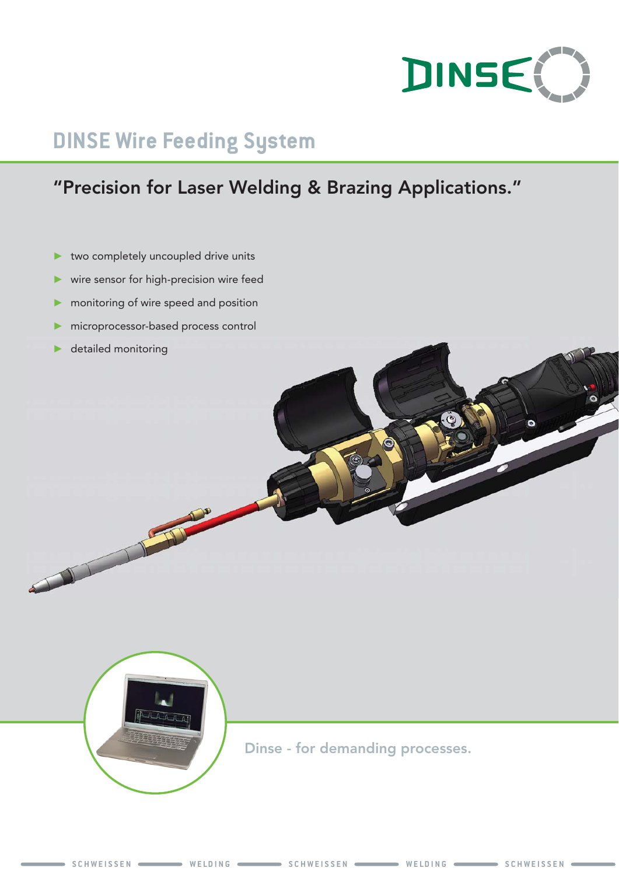

# **DINSE Wire Feeding System**

## "Precision for Laser Welding & Brazing Applications."

- ► two completely uncoupled drive units
- wire sensor for high-precision wire feed
- monitoring of wire speed and position
- microprocessor-based process control
- detailed monitoring





Dinse - for demanding processes.